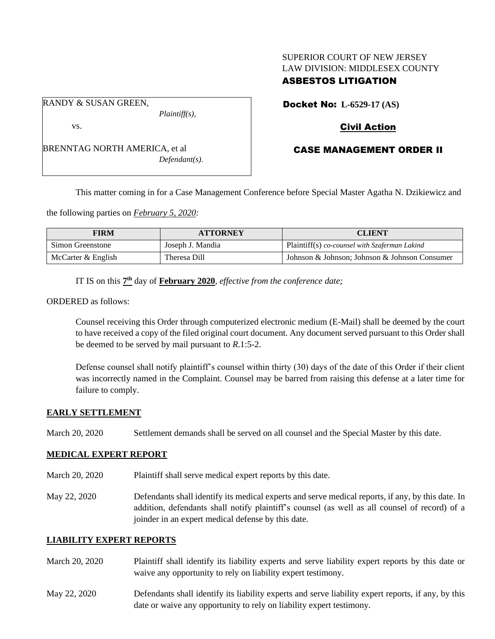# SUPERIOR COURT OF NEW JERSEY LAW DIVISION: MIDDLESEX COUNTY

# ASBESTOS LITIGATION

Docket No: **L-6529-17 (AS)** 

RANDY & SUSAN GREEN,

vs.

*Plaintiff(s),*

*Defendant(s).*

# Civil Action

# CASE MANAGEMENT ORDER II

This matter coming in for a Case Management Conference before Special Master Agatha N. Dzikiewicz and

the following parties on *February 5, 2020:*

BRENNTAG NORTH AMERICA, et al

| <b>FIRM</b>        | <b>ATTORNEY</b>  | <b>CLIENT</b>                                 |
|--------------------|------------------|-----------------------------------------------|
| Simon Greenstone   | Joseph J. Mandia | Plaintiff(s) co-counsel with Szaferman Lakind |
| McCarter & English | Theresa Dill     | Johnson & Johnson; Johnson & Johnson Consumer |

IT IS on this  $7<sup>th</sup>$  day of **February 2020**, *effective from the conference date*;

ORDERED as follows:

Counsel receiving this Order through computerized electronic medium (E-Mail) shall be deemed by the court to have received a copy of the filed original court document. Any document served pursuant to this Order shall be deemed to be served by mail pursuant to *R*.1:5-2.

Defense counsel shall notify plaintiff's counsel within thirty (30) days of the date of this Order if their client was incorrectly named in the Complaint. Counsel may be barred from raising this defense at a later time for failure to comply.

## **EARLY SETTLEMENT**

March 20, 2020 Settlement demands shall be served on all counsel and the Special Master by this date.

#### **MEDICAL EXPERT REPORT**

- March 20, 2020 Plaintiff shall serve medical expert reports by this date.
- May 22, 2020 Defendants shall identify its medical experts and serve medical reports, if any, by this date. In addition, defendants shall notify plaintiff's counsel (as well as all counsel of record) of a joinder in an expert medical defense by this date.

#### **LIABILITY EXPERT REPORTS**

- March 20, 2020 Plaintiff shall identify its liability experts and serve liability expert reports by this date or waive any opportunity to rely on liability expert testimony.
- May 22, 2020 Defendants shall identify its liability experts and serve liability expert reports, if any, by this date or waive any opportunity to rely on liability expert testimony.